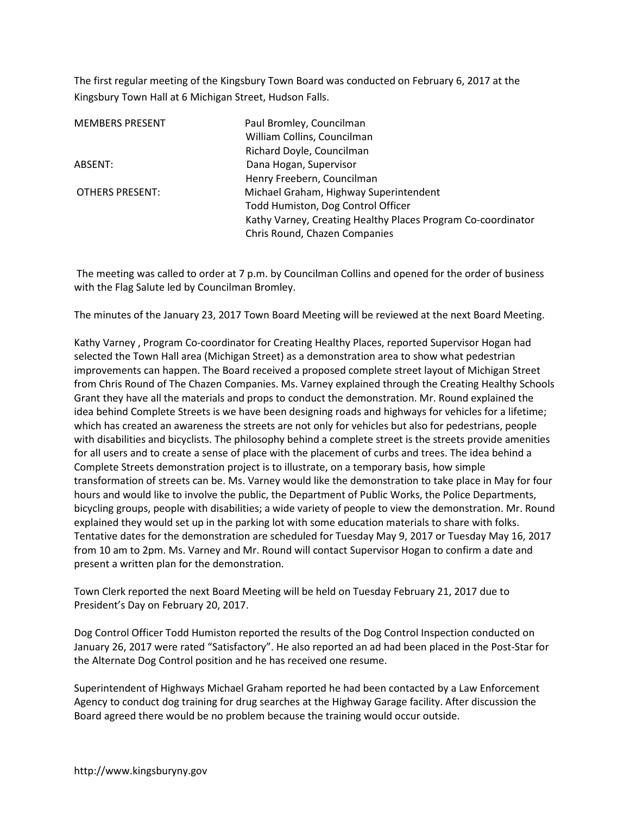The first regular meeting of the Kingsbury Town Board was conducted on February 6, 2017 at the Kingsbury Town Hall at 6 Michigan Street, Hudson Falls.

| Paul Bromley, Councilman<br>William Collins, Councilman      |
|--------------------------------------------------------------|
| Richard Doyle, Councilman                                    |
| Dana Hogan, Supervisor                                       |
| Henry Freebern, Councilman                                   |
| Michael Graham, Highway Superintendent                       |
| Todd Humiston, Dog Control Officer                           |
| Kathy Varney, Creating Healthy Places Program Co-coordinator |
| Chris Round, Chazen Companies                                |
|                                                              |

 The meeting was called to order at 7 p.m. by Councilman Collins and opened for the order of business with the Flag Salute led by Councilman Bromley.

The minutes of the January 23, 2017 Town Board Meeting will be reviewed at the next Board Meeting.

Kathy Varney , Program Co-coordinator for Creating Healthy Places, reported Supervisor Hogan had selected the Town Hall area (Michigan Street) as a demonstration area to show what pedestrian improvements can happen. The Board received a proposed complete street layout of Michigan Street from Chris Round of The Chazen Companies. Ms. Varney explained through the Creating Healthy Schools Grant they have all the materials and props to conduct the demonstration. Mr. Round explained the idea behind Complete Streets is we have been designing roads and highways for vehicles for a lifetime; which has created an awareness the streets are not only for vehicles but also for pedestrians, people with disabilities and bicyclists. The philosophy behind a complete street is the streets provide amenities for all users and to create a sense of place with the placement of curbs and trees. The idea behind a Complete Streets demonstration project is to illustrate, on a temporary basis, how simple transformation of streets can be. Ms. Varney would like the demonstration to take place in May for four hours and would like to involve the public, the Department of Public Works, the Police Departments, bicycling groups, people with disabilities; a wide variety of people to view the demonstration. Mr. Round explained they would set up in the parking lot with some education materials to share with folks. Tentative dates for the demonstration are scheduled for Tuesday May 9, 2017 or Tuesday May 16, 2017 from 10 am to 2pm. Ms. Varney and Mr. Round will contact Supervisor Hogan to confirm a date and present a written plan for the demonstration.

Town Clerk reported the next Board Meeting will be held on Tuesday February 21, 2017 due to President's Day on February 20, 2017.

Dog Control Officer Todd Humiston reported the results of the Dog Control Inspection conducted on January 26, 2017 were rated "Satisfactory". He also reported an ad had been placed in the Post-Star for the Alternate Dog Control position and he has received one resume.

Superintendent of Highways Michael Graham reported he had been contacted by a Law Enforcement Agency to conduct dog training for drug searches at the Highway Garage facility. After discussion the Board agreed there would be no problem because the training would occur outside.